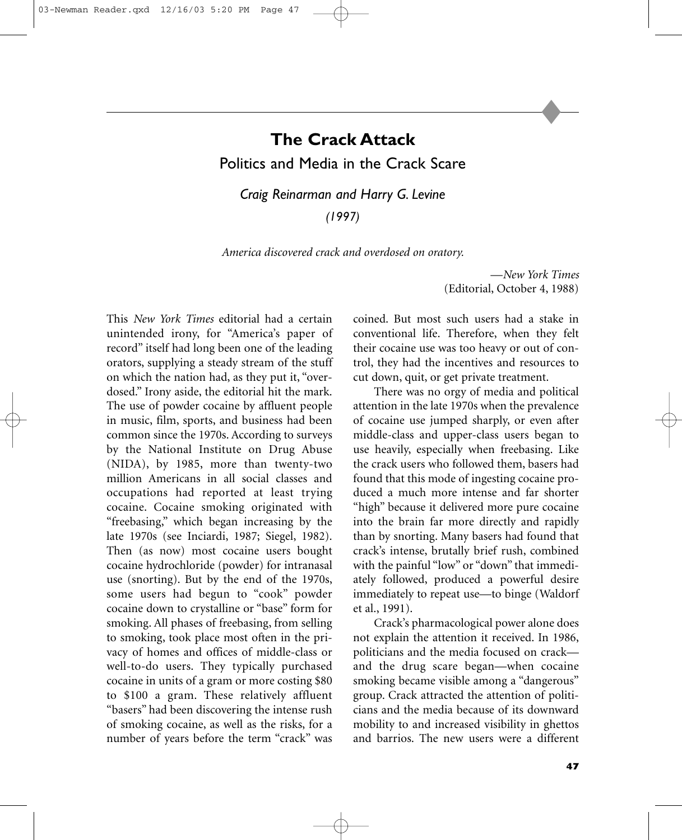# **The Crack Attack**

Politics and Media in the Crack Scare

## *Craig Reinarman and Harry G. Levine*

*(1997)*

*America discovered crack and overdosed on oratory.*

—*New York Times* (Editorial, October 4, 1988)

♦

This *New York Times* editorial had a certain unintended irony, for "America's paper of record" itself had long been one of the leading orators, supplying a steady stream of the stuff on which the nation had, as they put it, "overdosed." Irony aside, the editorial hit the mark. The use of powder cocaine by affluent people in music, film, sports, and business had been common since the 1970s. According to surveys by the National Institute on Drug Abuse (NIDA), by 1985, more than twenty-two million Americans in all social classes and occupations had reported at least trying cocaine. Cocaine smoking originated with "freebasing," which began increasing by the late 1970s (see Inciardi, 1987; Siegel, 1982). Then (as now) most cocaine users bought cocaine hydrochloride (powder) for intranasal use (snorting). But by the end of the 1970s, some users had begun to "cook" powder cocaine down to crystalline or "base" form for smoking. All phases of freebasing, from selling to smoking, took place most often in the privacy of homes and offices of middle-class or well-to-do users. They typically purchased cocaine in units of a gram or more costing \$80 to \$100 a gram. These relatively affluent "basers" had been discovering the intense rush of smoking cocaine, as well as the risks, for a number of years before the term "crack" was

coined. But most such users had a stake in conventional life. Therefore, when they felt their cocaine use was too heavy or out of control, they had the incentives and resources to cut down, quit, or get private treatment.

There was no orgy of media and political attention in the late 1970s when the prevalence of cocaine use jumped sharply, or even after middle-class and upper-class users began to use heavily, especially when freebasing. Like the crack users who followed them, basers had found that this mode of ingesting cocaine produced a much more intense and far shorter "high" because it delivered more pure cocaine into the brain far more directly and rapidly than by snorting. Many basers had found that crack's intense, brutally brief rush, combined with the painful "low" or "down" that immediately followed, produced a powerful desire immediately to repeat use—to binge (Waldorf et al., 1991).

Crack's pharmacological power alone does not explain the attention it received. In 1986, politicians and the media focused on crack and the drug scare began—when cocaine smoking became visible among a "dangerous" group. Crack attracted the attention of politicians and the media because of its downward mobility to and increased visibility in ghettos and barrios. The new users were a different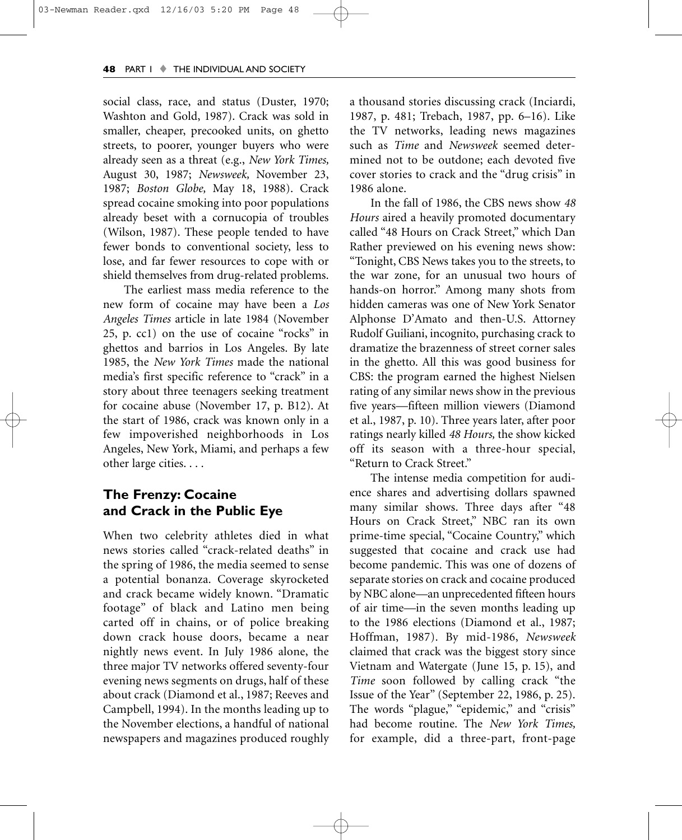social class, race, and status (Duster, 1970; Washton and Gold, 1987). Crack was sold in smaller, cheaper, precooked units, on ghetto streets, to poorer, younger buyers who were already seen as a threat (e.g., *New York Times,* August 30, 1987; *Newsweek,* November 23, 1987; *Boston Globe,* May 18, 1988). Crack spread cocaine smoking into poor populations already beset with a cornucopia of troubles (Wilson, 1987). These people tended to have fewer bonds to conventional society, less to lose, and far fewer resources to cope with or shield themselves from drug-related problems.

The earliest mass media reference to the new form of cocaine may have been a *Los Angeles Times* article in late 1984 (November 25, p. cc1) on the use of cocaine "rocks" in ghettos and barrios in Los Angeles. By late 1985, the *New York Times* made the national media's first specific reference to "crack" in a story about three teenagers seeking treatment for cocaine abuse (November 17, p. B12). At the start of 1986, crack was known only in a few impoverished neighborhoods in Los Angeles, New York, Miami, and perhaps a few other large cities....

# **The Frenzy: Cocaine and Crack in the Public Eye**

When two celebrity athletes died in what news stories called "crack-related deaths" in the spring of 1986, the media seemed to sense a potential bonanza. Coverage skyrocketed and crack became widely known. "Dramatic footage" of black and Latino men being carted off in chains, or of police breaking down crack house doors, became a near nightly news event. In July 1986 alone, the three major TV networks offered seventy-four evening news segments on drugs, half of these about crack (Diamond et al., 1987; Reeves and Campbell, 1994). In the months leading up to the November elections, a handful of national newspapers and magazines produced roughly

a thousand stories discussing crack (Inciardi, 1987, p. 481; Trebach, 1987, pp. 6–16). Like the TV networks, leading news magazines such as *Time* and *Newsweek* seemed determined not to be outdone; each devoted five cover stories to crack and the "drug crisis" in 1986 alone.

In the fall of 1986, the CBS news show *48 Hours* aired a heavily promoted documentary called "48 Hours on Crack Street," which Dan Rather previewed on his evening news show: "Tonight, CBS News takes you to the streets, to the war zone, for an unusual two hours of hands-on horror." Among many shots from hidden cameras was one of New York Senator Alphonse D'Amato and then-U.S. Attorney Rudolf Guiliani, incognito, purchasing crack to dramatize the brazenness of street corner sales in the ghetto. All this was good business for CBS: the program earned the highest Nielsen rating of any similar news show in the previous five years—fifteen million viewers (Diamond et al., 1987, p. 10). Three years later, after poor ratings nearly killed *48 Hours,* the show kicked off its season with a three-hour special, "Return to Crack Street."

The intense media competition for audience shares and advertising dollars spawned many similar shows. Three days after "48 Hours on Crack Street," NBC ran its own prime-time special, "Cocaine Country," which suggested that cocaine and crack use had become pandemic. This was one of dozens of separate stories on crack and cocaine produced by NBC alone—an unprecedented fifteen hours of air time—in the seven months leading up to the 1986 elections (Diamond et al., 1987; Hoffman, 1987). By mid-1986, *Newsweek* claimed that crack was the biggest story since Vietnam and Watergate (June 15, p. 15), and *Time* soon followed by calling crack "the Issue of the Year" (September 22, 1986, p. 25). The words "plague," "epidemic," and "crisis" had become routine. The *New York Times,* for example, did a three-part, front-page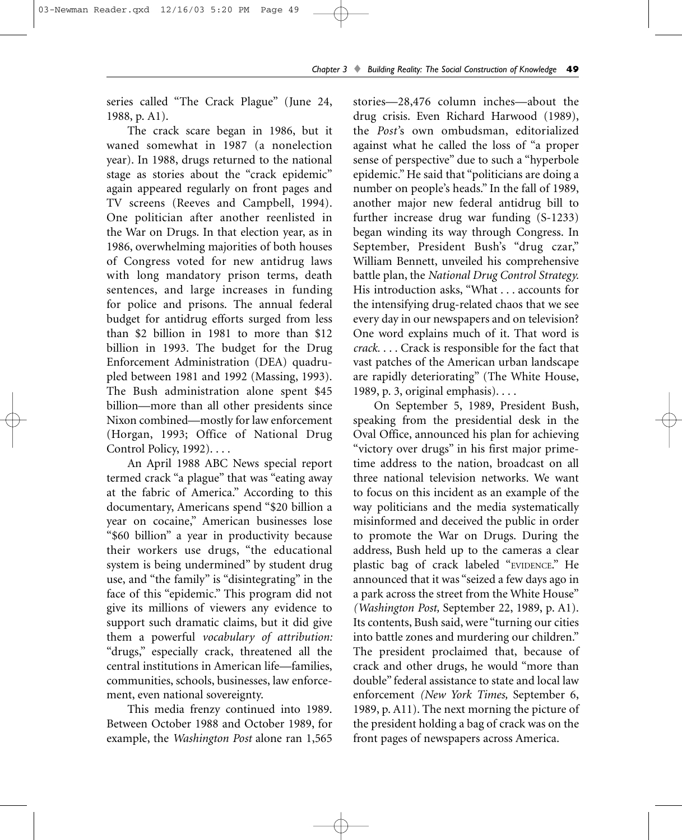series called "The Crack Plague" (June 24, 1988, p. A1).

The crack scare began in 1986, but it waned somewhat in 1987 (a nonelection year). In 1988, drugs returned to the national stage as stories about the "crack epidemic" again appeared regularly on front pages and TV screens (Reeves and Campbell, 1994). One politician after another reenlisted in the War on Drugs. In that election year, as in 1986, overwhelming majorities of both houses of Congress voted for new antidrug laws with long mandatory prison terms, death sentences, and large increases in funding for police and prisons. The annual federal budget for antidrug efforts surged from less than \$2 billion in 1981 to more than \$12 billion in 1993. The budget for the Drug Enforcement Administration (DEA) quadrupled between 1981 and 1992 (Massing, 1993). The Bush administration alone spent \$45 billion—more than all other presidents since Nixon combined—mostly for law enforcement (Horgan, 1993; Office of National Drug Control Policy, 1992)....

An April 1988 ABC News special report termed crack "a plague" that was "eating away at the fabric of America." According to this documentary, Americans spend "\$20 billion a year on cocaine," American businesses lose "\$60 billion" a year in productivity because their workers use drugs, "the educational system is being undermined" by student drug use, and "the family" is "disintegrating" in the face of this "epidemic." This program did not give its millions of viewers any evidence to support such dramatic claims, but it did give them a powerful *vocabulary of attribution:* "drugs," especially crack, threatened all the central institutions in American life—families, communities, schools, businesses, law enforcement, even national sovereignty.

This media frenzy continued into 1989. Between October 1988 and October 1989, for example, the *Washington Post* alone ran 1,565

stories—28,476 column inches—about the drug crisis. Even Richard Harwood (1989), the *Post'*s own ombudsman, editorialized against what he called the loss of "a proper sense of perspective" due to such a "hyperbole epidemic." He said that "politicians are doing a number on people's heads." In the fall of 1989, another major new federal antidrug bill to further increase drug war funding (S-1233) began winding its way through Congress. In September, President Bush's "drug czar," William Bennett, unveiled his comprehensive battle plan, the *National Drug Control Strategy.* His introduction asks, "What . . . accounts for the intensifying drug-related chaos that we see every day in our newspapers and on television? One word explains much of it. That word is *crack.* . . . Crack is responsible for the fact that vast patches of the American urban landscape are rapidly deteriorating" (The White House, 1989, p. 3, original emphasis).  $\dots$ 

On September 5, 1989, President Bush, speaking from the presidential desk in the Oval Office, announced his plan for achieving "victory over drugs" in his first major primetime address to the nation, broadcast on all three national television networks. We want to focus on this incident as an example of the way politicians and the media systematically misinformed and deceived the public in order to promote the War on Drugs. During the address, Bush held up to the cameras a clear plastic bag of crack labeled "EVIDENCE." He announced that it was "seized a few days ago in a park across the street from the White House" *(Washington Post,* September 22, 1989, p. A1). Its contents, Bush said, were "turning our cities into battle zones and murdering our children." The president proclaimed that, because of crack and other drugs, he would "more than double" federal assistance to state and local law enforcement *(New York Times,* September 6, 1989, p. A11). The next morning the picture of the president holding a bag of crack was on the front pages of newspapers across America.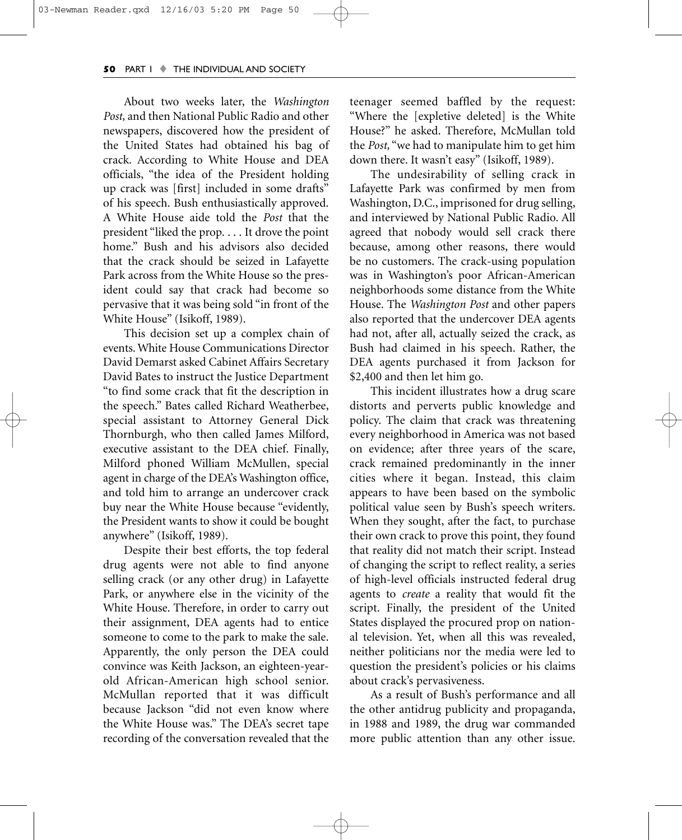About two weeks later, the *Washington Post,* and then National Public Radio and other newspapers, discovered how the president of the United States had obtained his bag of crack. According to White House and DEA officials, "the idea of the President holding up crack was [first] included in some drafts" of his speech. Bush enthusiastically approved. A White House aide told the *Post* that the president "liked the prop. . . . It drove the point home." Bush and his advisors also decided that the crack should be seized in Lafayette Park across from the White House so the president could say that crack had become so pervasive that it was being sold "in front of the White House" (Isikoff, 1989).

This decision set up a complex chain of events. White House Communications Director David Demarst asked Cabinet Affairs Secretary David Bates to instruct the Justice Department "to find some crack that fit the description in the speech." Bates called Richard Weatherbee, special assistant to Attorney General Dick Thornburgh, who then called James Milford, executive assistant to the DEA chief. Finally, Milford phoned William McMullen, special agent in charge of the DEA's Washington office, and told him to arrange an undercover crack buy near the White House because "evidently, the President wants to show it could be bought anywhere" (Isikoff, 1989).

Despite their best efforts, the top federal drug agents were not able to find anyone selling crack (or any other drug) in Lafayette Park, or anywhere else in the vicinity of the White House. Therefore, in order to carry out their assignment, DEA agents had to entice someone to come to the park to make the sale. Apparently, the only person the DEA could convince was Keith Jackson, an eighteen-yearold African-American high school senior. McMullan reported that it was difficult because Jackson "did not even know where the White House was." The DEA's secret tape recording of the conversation revealed that the teenager seemed baffled by the request: "Where the [expletive deleted] is the White House?" he asked. Therefore, McMullan told the *Post,* "we had to manipulate him to get him down there. It wasn't easy" (Isikoff, 1989).

The undesirability of selling crack in Lafayette Park was confirmed by men from Washington, D.C., imprisoned for drug selling, and interviewed by National Public Radio. All agreed that nobody would sell crack there because, among other reasons, there would be no customers. The crack-using population was in Washington's poor African-American neighborhoods some distance from the White House. The *Washington Post* and other papers also reported that the undercover DEA agents had not, after all, actually seized the crack, as Bush had claimed in his speech. Rather, the DEA agents purchased it from Jackson for \$2,400 and then let him go.

This incident illustrates how a drug scare distorts and perverts public knowledge and policy. The claim that crack was threatening every neighborhood in America was not based on evidence; after three years of the scare, crack remained predominantly in the inner cities where it began. Instead, this claim appears to have been based on the symbolic political value seen by Bush's speech writers. When they sought, after the fact, to purchase their own crack to prove this point, they found that reality did not match their script. Instead of changing the script to reflect reality, a series of high-level officials instructed federal drug agents to *create* a reality that would fit the script. Finally, the president of the United States displayed the procured prop on national television. Yet, when all this was revealed, neither politicians nor the media were led to question the president's policies or his claims about crack's pervasiveness.

As a result of Bush's performance and all the other antidrug publicity and propaganda, in 1988 and 1989, the drug war commanded more public attention than any other issue.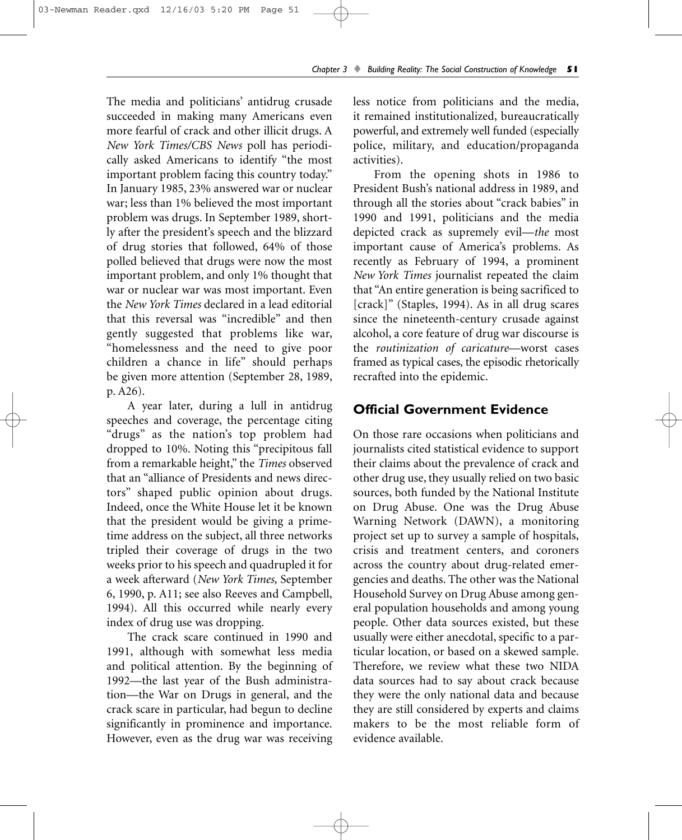The media and politicians' antidrug crusade succeeded in making many Americans even more fearful of crack and other illicit drugs. A *New York Times/CBS News* poll has periodically asked Americans to identify "the most important problem facing this country today." In January 1985, 23% answered war or nuclear war; less than 1% believed the most important problem was drugs. In September 1989, shortly after the president's speech and the blizzard of drug stories that followed, 64% of those polled believed that drugs were now the most important problem, and only 1% thought that war or nuclear war was most important. Even the *New York Times* declared in a lead editorial that this reversal was "incredible" and then gently suggested that problems like war, "homelessness and the need to give poor children a chance in life" should perhaps be given more attention (September 28, 1989, p. A26).

A year later, during a lull in antidrug speeches and coverage, the percentage citing "drugs" as the nation's top problem had dropped to 10%. Noting this "precipitous fall from a remarkable height," the *Times* observed that an "alliance of Presidents and news directors" shaped public opinion about drugs. Indeed, once the White House let it be known that the president would be giving a primetime address on the subject, all three networks tripled their coverage of drugs in the two weeks prior to his speech and quadrupled it for a week afterward (*New York Times,* September 6, 1990, p. A11; see also Reeves and Campbell, 1994). All this occurred while nearly every index of drug use was dropping.

The crack scare continued in 1990 and 1991, although with somewhat less media and political attention. By the beginning of 1992—the last year of the Bush administration—the War on Drugs in general, and the crack scare in particular, had begun to decline significantly in prominence and importance. However, even as the drug war was receiving less notice from politicians and the media, it remained institutionalized, bureaucratically powerful, and extremely well funded (especially police, military, and education/propaganda activities).

From the opening shots in 1986 to President Bush's national address in 1989, and through all the stories about "crack babies" in 1990 and 1991, politicians and the media depicted crack as supremely evil—*the* most important cause of America's problems. As recently as February of 1994, a prominent *New York Times* journalist repeated the claim that "An entire generation is being sacrificed to [crack]" (Staples, 1994). As in all drug scares since the nineteenth-century crusade against alcohol, a core feature of drug war discourse is the *routinization of caricature*—worst cases framed as typical cases, the episodic rhetorically recrafted into the epidemic.

## **Official Government Evidence**

On those rare occasions when politicians and journalists cited statistical evidence to support their claims about the prevalence of crack and other drug use, they usually relied on two basic sources, both funded by the National Institute on Drug Abuse. One was the Drug Abuse Warning Network (DAWN), a monitoring project set up to survey a sample of hospitals, crisis and treatment centers, and coroners across the country about drug-related emergencies and deaths. The other was the National Household Survey on Drug Abuse among general population households and among young people. Other data sources existed, but these usually were either anecdotal, specific to a particular location, or based on a skewed sample. Therefore, we review what these two NIDA data sources had to say about crack because they were the only national data and because they are still considered by experts and claims makers to be the most reliable form of evidence available.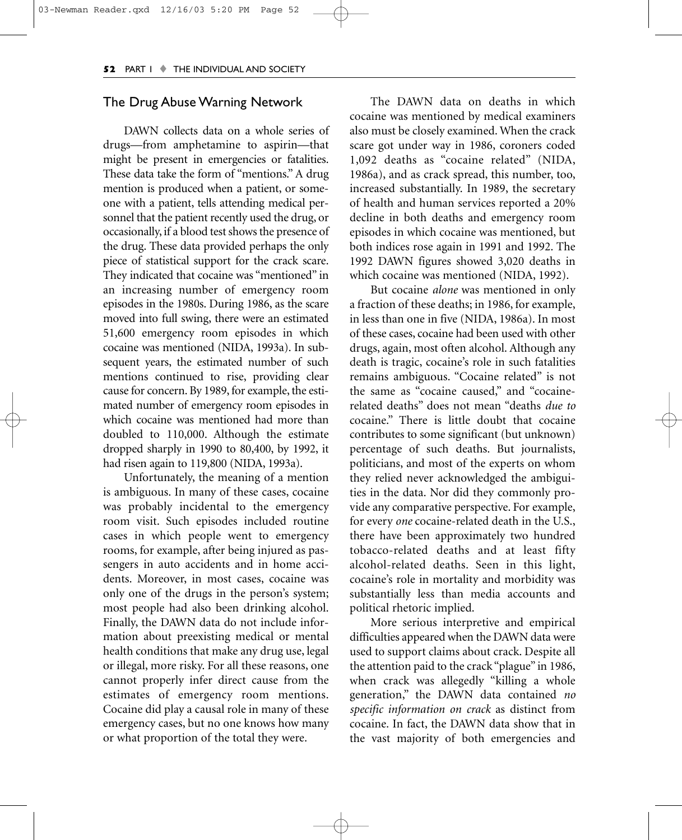## The Drug Abuse Warning Network

DAWN collects data on a whole series of drugs—from amphetamine to aspirin—that might be present in emergencies or fatalities. These data take the form of "mentions." A drug mention is produced when a patient, or someone with a patient, tells attending medical personnel that the patient recently used the drug, or occasionally, if a blood test shows the presence of the drug. These data provided perhaps the only piece of statistical support for the crack scare. They indicated that cocaine was "mentioned" in an increasing number of emergency room episodes in the 1980s. During 1986, as the scare moved into full swing, there were an estimated 51,600 emergency room episodes in which cocaine was mentioned (NIDA, 1993a). In subsequent years, the estimated number of such mentions continued to rise, providing clear cause for concern. By 1989, for example, the estimated number of emergency room episodes in which cocaine was mentioned had more than doubled to 110,000. Although the estimate dropped sharply in 1990 to 80,400, by 1992, it had risen again to 119,800 (NIDA, 1993a).

Unfortunately, the meaning of a mention is ambiguous. In many of these cases, cocaine was probably incidental to the emergency room visit. Such episodes included routine cases in which people went to emergency rooms, for example, after being injured as passengers in auto accidents and in home accidents. Moreover, in most cases, cocaine was only one of the drugs in the person's system; most people had also been drinking alcohol. Finally, the DAWN data do not include information about preexisting medical or mental health conditions that make any drug use, legal or illegal, more risky. For all these reasons, one cannot properly infer direct cause from the estimates of emergency room mentions. Cocaine did play a causal role in many of these emergency cases, but no one knows how many or what proportion of the total they were.

The DAWN data on deaths in which cocaine was mentioned by medical examiners also must be closely examined. When the crack scare got under way in 1986, coroners coded 1,092 deaths as "cocaine related" (NIDA, 1986a), and as crack spread, this number, too, increased substantially. In 1989, the secretary of health and human services reported a 20% decline in both deaths and emergency room episodes in which cocaine was mentioned, but both indices rose again in 1991 and 1992. The 1992 DAWN figures showed 3,020 deaths in which cocaine was mentioned (NIDA, 1992).

But cocaine *alone* was mentioned in only a fraction of these deaths; in 1986, for example, in less than one in five (NIDA, 1986a). In most of these cases, cocaine had been used with other drugs, again, most often alcohol. Although any death is tragic, cocaine's role in such fatalities remains ambiguous. "Cocaine related" is not the same as "cocaine caused," and "cocainerelated deaths" does not mean "deaths *due to* cocaine." There is little doubt that cocaine contributes to some significant (but unknown) percentage of such deaths. But journalists, politicians, and most of the experts on whom they relied never acknowledged the ambiguities in the data. Nor did they commonly provide any comparative perspective. For example, for every *one* cocaine-related death in the U.S., there have been approximately two hundred tobacco-related deaths and at least fifty alcohol-related deaths. Seen in this light, cocaine's role in mortality and morbidity was substantially less than media accounts and political rhetoric implied.

More serious interpretive and empirical difficulties appeared when the DAWN data were used to support claims about crack. Despite all the attention paid to the crack "plague" in 1986, when crack was allegedly "killing a whole generation," the DAWN data contained *no specific information on crack* as distinct from cocaine. In fact, the DAWN data show that in the vast majority of both emergencies and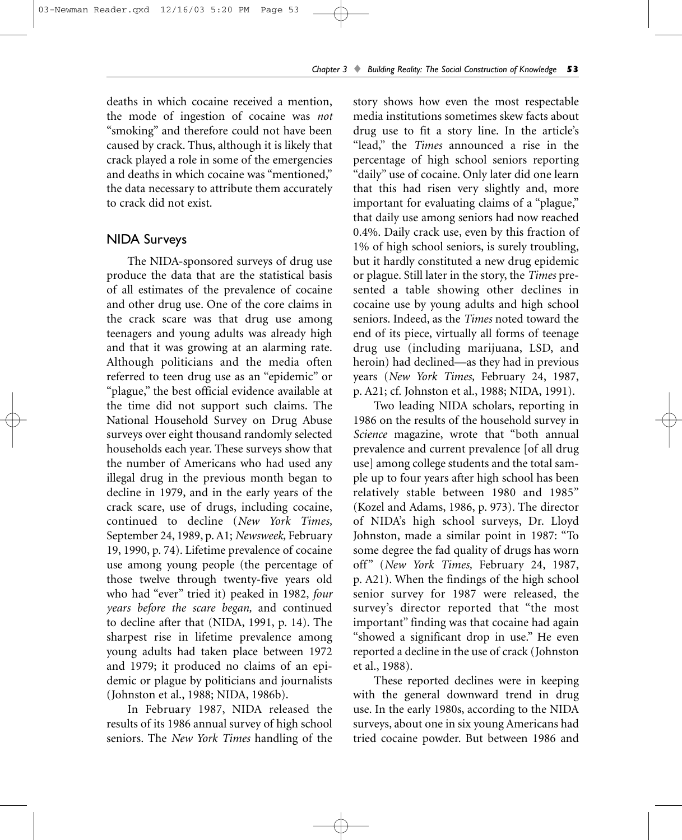deaths in which cocaine received a mention, the mode of ingestion of cocaine was *not* "smoking" and therefore could not have been caused by crack. Thus, although it is likely that crack played a role in some of the emergencies and deaths in which cocaine was "mentioned," the data necessary to attribute them accurately to crack did not exist.

### NIDA Surveys

The NIDA-sponsored surveys of drug use produce the data that are the statistical basis of all estimates of the prevalence of cocaine and other drug use. One of the core claims in the crack scare was that drug use among teenagers and young adults was already high and that it was growing at an alarming rate. Although politicians and the media often referred to teen drug use as an "epidemic" or "plague," the best official evidence available at the time did not support such claims. The National Household Survey on Drug Abuse surveys over eight thousand randomly selected households each year. These surveys show that the number of Americans who had used any illegal drug in the previous month began to decline in 1979, and in the early years of the crack scare, use of drugs, including cocaine, continued to decline (*New York Times,* September 24, 1989, p. A1; *Newsweek,* February 19, 1990, p. 74). Lifetime prevalence of cocaine use among young people (the percentage of those twelve through twenty-five years old who had "ever" tried it) peaked in 1982, *four years before the scare began,* and continued to decline after that (NIDA, 1991, p. 14). The sharpest rise in lifetime prevalence among young adults had taken place between 1972 and 1979; it produced no claims of an epidemic or plague by politicians and journalists (Johnston et al., 1988; NIDA, 1986b).

In February 1987, NIDA released the results of its 1986 annual survey of high school seniors. The *New York Times* handling of the story shows how even the most respectable media institutions sometimes skew facts about drug use to fit a story line. In the article's "lead," the *Times* announced a rise in the percentage of high school seniors reporting "daily" use of cocaine. Only later did one learn that this had risen very slightly and, more important for evaluating claims of a "plague," that daily use among seniors had now reached 0.4%. Daily crack use, even by this fraction of 1% of high school seniors, is surely troubling, but it hardly constituted a new drug epidemic or plague. Still later in the story, the *Times* presented a table showing other declines in cocaine use by young adults and high school seniors. Indeed, as the *Times* noted toward the end of its piece, virtually all forms of teenage drug use (including marijuana, LSD, and heroin) had declined—as they had in previous years (*New York Times,* February 24, 1987, p. A21; cf. Johnston et al., 1988; NIDA, 1991).

Two leading NIDA scholars, reporting in 1986 on the results of the household survey in *Science* magazine, wrote that "both annual prevalence and current prevalence [of all drug use] among college students and the total sample up to four years after high school has been relatively stable between 1980 and 1985" (Kozel and Adams, 1986, p. 973). The director of NIDA's high school surveys, Dr. Lloyd Johnston, made a similar point in 1987: "To some degree the fad quality of drugs has worn off" (*New York Times,* February 24, 1987, p. A21). When the findings of the high school senior survey for 1987 were released, the survey's director reported that "the most important" finding was that cocaine had again "showed a significant drop in use." He even reported a decline in the use of crack (Johnston et al., 1988).

These reported declines were in keeping with the general downward trend in drug use. In the early 1980s, according to the NIDA surveys, about one in six young Americans had tried cocaine powder. But between 1986 and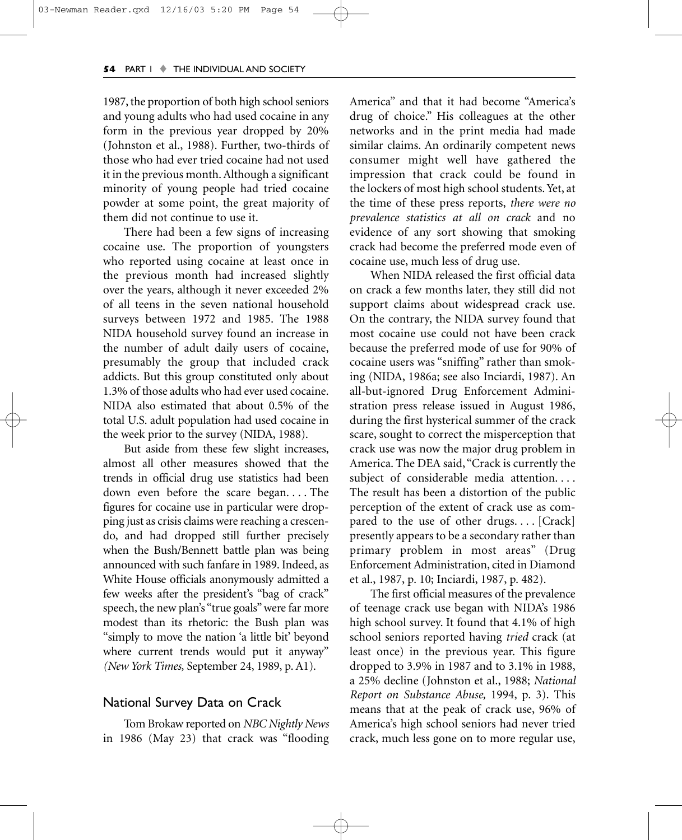1987, the proportion of both high school seniors and young adults who had used cocaine in any form in the previous year dropped by 20% (Johnston et al., 1988). Further, two-thirds of those who had ever tried cocaine had not used it in the previous month. Although a significant minority of young people had tried cocaine powder at some point, the great majority of them did not continue to use it.

There had been a few signs of increasing cocaine use. The proportion of youngsters who reported using cocaine at least once in the previous month had increased slightly over the years, although it never exceeded 2% of all teens in the seven national household surveys between 1972 and 1985. The 1988 NIDA household survey found an increase in the number of adult daily users of cocaine, presumably the group that included crack addicts. But this group constituted only about 1.3% of those adults who had ever used cocaine. NIDA also estimated that about 0.5% of the total U.S. adult population had used cocaine in the week prior to the survey (NIDA, 1988).

But aside from these few slight increases, almost all other measures showed that the trends in official drug use statistics had been down even before the scare began. . . . The figures for cocaine use in particular were dropping just as crisis claims were reaching a crescendo, and had dropped still further precisely when the Bush/Bennett battle plan was being announced with such fanfare in 1989. Indeed, as White House officials anonymously admitted a few weeks after the president's "bag of crack" speech, the new plan's "true goals" were far more modest than its rhetoric: the Bush plan was "simply to move the nation 'a little bit' beyond where current trends would put it anyway" *(New York Times,* September 24, 1989, p. A1).

### National Survey Data on Crack

Tom Brokaw reported on *NBC Nightly News* in 1986 (May 23) that crack was "flooding America" and that it had become "America's drug of choice." His colleagues at the other networks and in the print media had made similar claims. An ordinarily competent news consumer might well have gathered the impression that crack could be found in the lockers of most high school students. Yet, at the time of these press reports, *there were no prevalence statistics at all on crack* and no evidence of any sort showing that smoking crack had become the preferred mode even of cocaine use, much less of drug use.

When NIDA released the first official data on crack a few months later, they still did not support claims about widespread crack use. On the contrary, the NIDA survey found that most cocaine use could not have been crack because the preferred mode of use for 90% of cocaine users was "sniffing" rather than smoking (NIDA, 1986a; see also Inciardi, 1987). An all-but-ignored Drug Enforcement Administration press release issued in August 1986, during the first hysterical summer of the crack scare, sought to correct the misperception that crack use was now the major drug problem in America. The DEA said, "Crack is currently the subject of considerable media attention.... The result has been a distortion of the public perception of the extent of crack use as compared to the use of other drugs....  $[Crack]$ presently appears to be a secondary rather than primary problem in most areas" (Drug Enforcement Administration, cited in Diamond et al., 1987, p. 10; Inciardi, 1987, p. 482).

The first official measures of the prevalence of teenage crack use began with NIDA's 1986 high school survey. It found that 4.1% of high school seniors reported having *tried* crack (at least once) in the previous year. This figure dropped to 3.9% in 1987 and to 3.1% in 1988, a 25% decline (Johnston et al., 1988; *National Report on Substance Abuse,* 1994, p. 3). This means that at the peak of crack use, 96% of America's high school seniors had never tried crack, much less gone on to more regular use,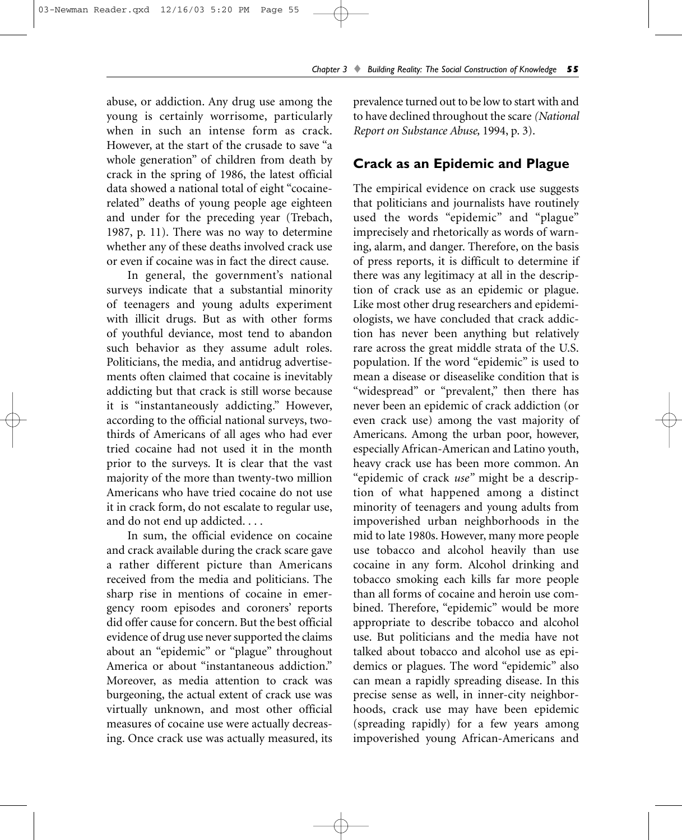abuse, or addiction. Any drug use among the young is certainly worrisome, particularly when in such an intense form as crack. However, at the start of the crusade to save "a whole generation" of children from death by crack in the spring of 1986, the latest official data showed a national total of eight "cocainerelated" deaths of young people age eighteen and under for the preceding year (Trebach, 1987, p. 11). There was no way to determine whether any of these deaths involved crack use or even if cocaine was in fact the direct cause.

In general, the government's national surveys indicate that a substantial minority of teenagers and young adults experiment with illicit drugs. But as with other forms of youthful deviance, most tend to abandon such behavior as they assume adult roles. Politicians, the media, and antidrug advertisements often claimed that cocaine is inevitably addicting but that crack is still worse because it is "instantaneously addicting." However, according to the official national surveys, twothirds of Americans of all ages who had ever tried cocaine had not used it in the month prior to the surveys. It is clear that the vast majority of the more than twenty-two million Americans who have tried cocaine do not use it in crack form, do not escalate to regular use, and do not end up addicted....

In sum, the official evidence on cocaine and crack available during the crack scare gave a rather different picture than Americans received from the media and politicians. The sharp rise in mentions of cocaine in emergency room episodes and coroners' reports did offer cause for concern. But the best official evidence of drug use never supported the claims about an "epidemic" or "plague" throughout America or about "instantaneous addiction." Moreover, as media attention to crack was burgeoning, the actual extent of crack use was virtually unknown, and most other official measures of cocaine use were actually decreasing. Once crack use was actually measured, its

prevalence turned out to be low to start with and to have declined throughout the scare *(National Report on Substance Abuse,* 1994, p. 3).

## **Crack as an Epidemic and Plague**

The empirical evidence on crack use suggests that politicians and journalists have routinely used the words "epidemic" and "plague" imprecisely and rhetorically as words of warning, alarm, and danger. Therefore, on the basis of press reports, it is difficult to determine if there was any legitimacy at all in the description of crack use as an epidemic or plague. Like most other drug researchers and epidemiologists, we have concluded that crack addiction has never been anything but relatively rare across the great middle strata of the U.S. population. If the word "epidemic" is used to mean a disease or diseaselike condition that is "widespread" or "prevalent," then there has never been an epidemic of crack addiction (or even crack use) among the vast majority of Americans. Among the urban poor, however, especially African-American and Latino youth, heavy crack use has been more common. An "epidemic of crack *use"* might be a description of what happened among a distinct minority of teenagers and young adults from impoverished urban neighborhoods in the mid to late 1980s. However, many more people use tobacco and alcohol heavily than use cocaine in any form. Alcohol drinking and tobacco smoking each kills far more people than all forms of cocaine and heroin use combined. Therefore, "epidemic" would be more appropriate to describe tobacco and alcohol use. But politicians and the media have not talked about tobacco and alcohol use as epidemics or plagues. The word "epidemic" also can mean a rapidly spreading disease. In this precise sense as well, in inner-city neighborhoods, crack use may have been epidemic (spreading rapidly) for a few years among impoverished young African-Americans and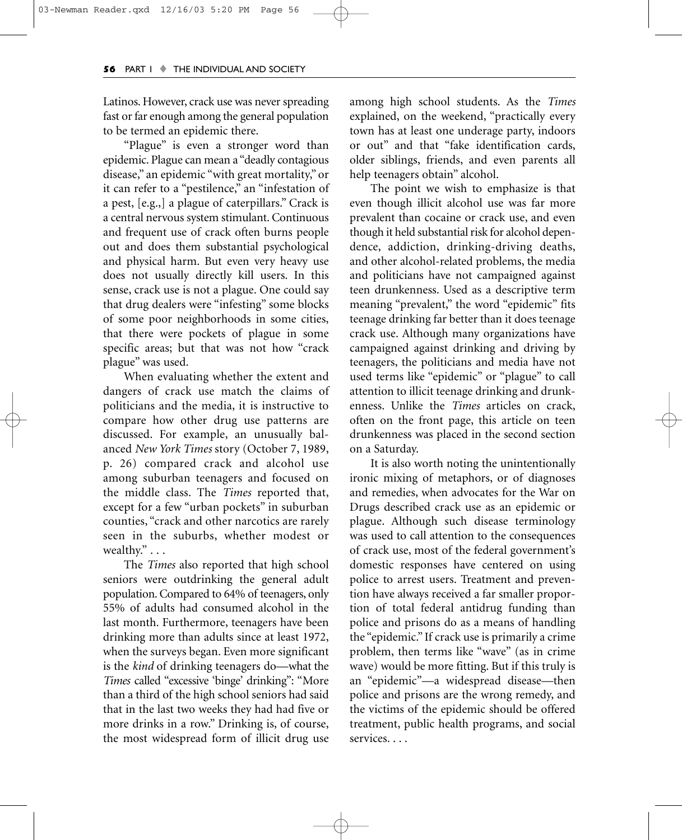Latinos. However, crack use was never spreading fast or far enough among the general population to be termed an epidemic there.

"Plague" is even a stronger word than epidemic. Plague can mean a "deadly contagious disease," an epidemic "with great mortality," or it can refer to a "pestilence," an "infestation of a pest, [e.g.,] a plague of caterpillars." Crack is a central nervous system stimulant. Continuous and frequent use of crack often burns people out and does them substantial psychological and physical harm. But even very heavy use does not usually directly kill users. In this sense, crack use is not a plague. One could say that drug dealers were "infesting" some blocks of some poor neighborhoods in some cities, that there were pockets of plague in some specific areas; but that was not how "crack plague" was used.

When evaluating whether the extent and dangers of crack use match the claims of politicians and the media, it is instructive to compare how other drug use patterns are discussed. For example, an unusually balanced *New York Times* story (October 7, 1989, p. 26) compared crack and alcohol use among suburban teenagers and focused on the middle class. The *Times* reported that, except for a few "urban pockets" in suburban counties, "crack and other narcotics are rarely seen in the suburbs, whether modest or wealthy." . . .

The *Times* also reported that high school seniors were outdrinking the general adult population. Compared to 64% of teenagers, only 55% of adults had consumed alcohol in the last month. Furthermore, teenagers have been drinking more than adults since at least 1972, when the surveys began. Even more significant is the *kind* of drinking teenagers do—what the *Times* called "excessive 'binge' drinking": "More than a third of the high school seniors had said that in the last two weeks they had had five or more drinks in a row." Drinking is, of course, the most widespread form of illicit drug use

among high school students. As the *Times* explained, on the weekend, "practically every town has at least one underage party, indoors or out" and that "fake identification cards, older siblings, friends, and even parents all help teenagers obtain" alcohol.

The point we wish to emphasize is that even though illicit alcohol use was far more prevalent than cocaine or crack use, and even though it held substantial risk for alcohol dependence, addiction, drinking-driving deaths, and other alcohol-related problems, the media and politicians have not campaigned against teen drunkenness. Used as a descriptive term meaning "prevalent," the word "epidemic" fits teenage drinking far better than it does teenage crack use. Although many organizations have campaigned against drinking and driving by teenagers, the politicians and media have not used terms like "epidemic" or "plague" to call attention to illicit teenage drinking and drunkenness. Unlike the *Times* articles on crack, often on the front page, this article on teen drunkenness was placed in the second section on a Saturday.

It is also worth noting the unintentionally ironic mixing of metaphors, or of diagnoses and remedies, when advocates for the War on Drugs described crack use as an epidemic or plague. Although such disease terminology was used to call attention to the consequences of crack use, most of the federal government's domestic responses have centered on using police to arrest users. Treatment and prevention have always received a far smaller proportion of total federal antidrug funding than police and prisons do as a means of handling the "epidemic." If crack use is primarily a crime problem, then terms like "wave" (as in crime wave) would be more fitting. But if this truly is an "epidemic"—a widespread disease—then police and prisons are the wrong remedy, and the victims of the epidemic should be offered treatment, public health programs, and social services. . . .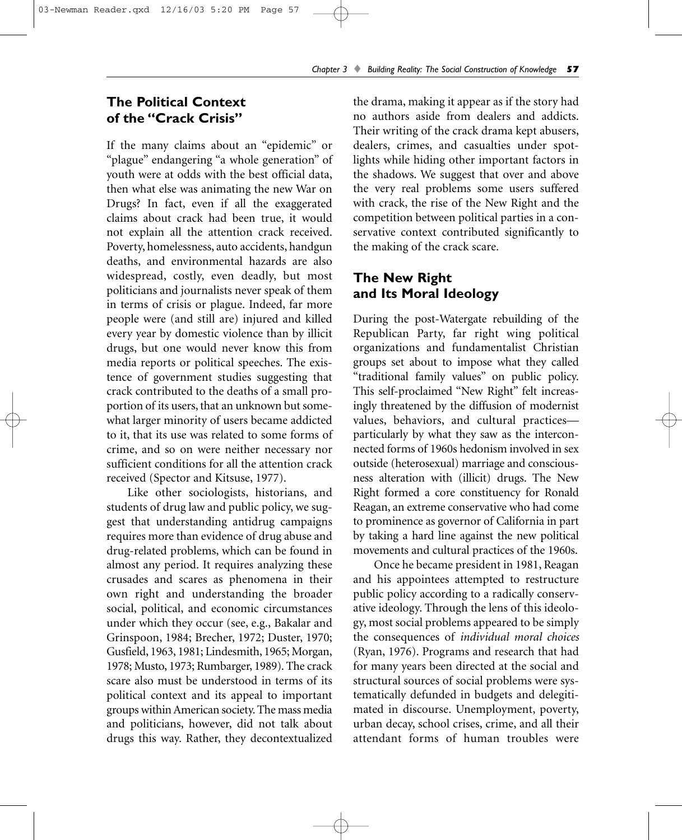# **The Political Context of the "Crack Crisis"**

If the many claims about an "epidemic" or "plague" endangering "a whole generation" of youth were at odds with the best official data, then what else was animating the new War on Drugs? In fact, even if all the exaggerated claims about crack had been true, it would not explain all the attention crack received. Poverty, homelessness, auto accidents, handgun deaths, and environmental hazards are also widespread, costly, even deadly, but most politicians and journalists never speak of them in terms of crisis or plague. Indeed, far more people were (and still are) injured and killed every year by domestic violence than by illicit drugs, but one would never know this from media reports or political speeches. The existence of government studies suggesting that crack contributed to the deaths of a small proportion of its users, that an unknown but somewhat larger minority of users became addicted to it, that its use was related to some forms of crime, and so on were neither necessary nor sufficient conditions for all the attention crack received (Spector and Kitsuse, 1977).

Like other sociologists, historians, and students of drug law and public policy, we suggest that understanding antidrug campaigns requires more than evidence of drug abuse and drug-related problems, which can be found in almost any period. It requires analyzing these crusades and scares as phenomena in their own right and understanding the broader social, political, and economic circumstances under which they occur (see, e.g., Bakalar and Grinspoon, 1984; Brecher, 1972; Duster, 1970; Gusfield, 1963, 1981; Lindesmith, 1965; Morgan, 1978; Musto, 1973; Rumbarger, 1989). The crack scare also must be understood in terms of its political context and its appeal to important groups within American society. The mass media and politicians, however, did not talk about drugs this way. Rather, they decontextualized

the drama, making it appear as if the story had no authors aside from dealers and addicts. Their writing of the crack drama kept abusers, dealers, crimes, and casualties under spotlights while hiding other important factors in the shadows. We suggest that over and above the very real problems some users suffered with crack, the rise of the New Right and the competition between political parties in a conservative context contributed significantly to the making of the crack scare.

# **The New Right and Its Moral Ideology**

During the post-Watergate rebuilding of the Republican Party, far right wing political organizations and fundamentalist Christian groups set about to impose what they called "traditional family values" on public policy. This self-proclaimed "New Right" felt increasingly threatened by the diffusion of modernist values, behaviors, and cultural practices particularly by what they saw as the interconnected forms of 1960s hedonism involved in sex outside (heterosexual) marriage and consciousness alteration with (illicit) drugs. The New Right formed a core constituency for Ronald Reagan, an extreme conservative who had come to prominence as governor of California in part by taking a hard line against the new political movements and cultural practices of the 1960s.

Once he became president in 1981, Reagan and his appointees attempted to restructure public policy according to a radically conservative ideology. Through the lens of this ideology, most social problems appeared to be simply the consequences of *individual moral choices* (Ryan, 1976). Programs and research that had for many years been directed at the social and structural sources of social problems were systematically defunded in budgets and delegitimated in discourse. Unemployment, poverty, urban decay, school crises, crime, and all their attendant forms of human troubles were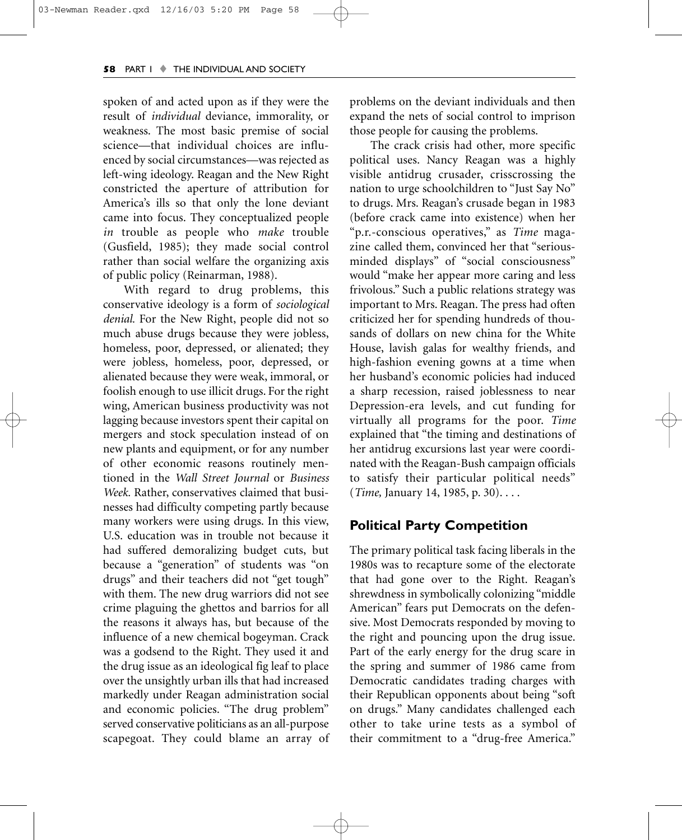spoken of and acted upon as if they were the result of *individual* deviance, immorality, or weakness. The most basic premise of social science—that individual choices are influenced by social circumstances—was rejected as left-wing ideology. Reagan and the New Right constricted the aperture of attribution for America's ills so that only the lone deviant came into focus. They conceptualized people *in* trouble as people who *make* trouble (Gusfield, 1985); they made social control rather than social welfare the organizing axis of public policy (Reinarman, 1988).

With regard to drug problems, this conservative ideology is a form of *sociological denial.* For the New Right, people did not so much abuse drugs because they were jobless, homeless, poor, depressed, or alienated; they were jobless, homeless, poor, depressed, or alienated because they were weak, immoral, or foolish enough to use illicit drugs. For the right wing, American business productivity was not lagging because investors spent their capital on mergers and stock speculation instead of on new plants and equipment, or for any number of other economic reasons routinely mentioned in the *Wall Street Journal* or *Business Week.* Rather, conservatives claimed that businesses had difficulty competing partly because many workers were using drugs. In this view, U.S. education was in trouble not because it had suffered demoralizing budget cuts, but because a "generation" of students was "on drugs" and their teachers did not "get tough" with them. The new drug warriors did not see crime plaguing the ghettos and barrios for all the reasons it always has, but because of the influence of a new chemical bogeyman. Crack was a godsend to the Right. They used it and the drug issue as an ideological fig leaf to place over the unsightly urban ills that had increased markedly under Reagan administration social and economic policies. "The drug problem" served conservative politicians as an all-purpose scapegoat. They could blame an array of problems on the deviant individuals and then expand the nets of social control to imprison those people for causing the problems.

The crack crisis had other, more specific political uses. Nancy Reagan was a highly visible antidrug crusader, crisscrossing the nation to urge schoolchildren to "Just Say No" to drugs. Mrs. Reagan's crusade began in 1983 (before crack came into existence) when her "p.r.-conscious operatives," as *Time* magazine called them, convinced her that "seriousminded displays" of "social consciousness" would "make her appear more caring and less frivolous." Such a public relations strategy was important to Mrs. Reagan. The press had often criticized her for spending hundreds of thousands of dollars on new china for the White House, lavish galas for wealthy friends, and high-fashion evening gowns at a time when her husband's economic policies had induced a sharp recession, raised joblessness to near Depression-era levels, and cut funding for virtually all programs for the poor. *Time* explained that "the timing and destinations of her antidrug excursions last year were coordinated with the Reagan-Bush campaign officials to satisfy their particular political needs" (*Time,* January 14, 1985, p. 30)....

## **Political Party Competition**

The primary political task facing liberals in the 1980s was to recapture some of the electorate that had gone over to the Right. Reagan's shrewdness in symbolically colonizing "middle American" fears put Democrats on the defensive. Most Democrats responded by moving to the right and pouncing upon the drug issue. Part of the early energy for the drug scare in the spring and summer of 1986 came from Democratic candidates trading charges with their Republican opponents about being "soft on drugs." Many candidates challenged each other to take urine tests as a symbol of their commitment to a "drug-free America."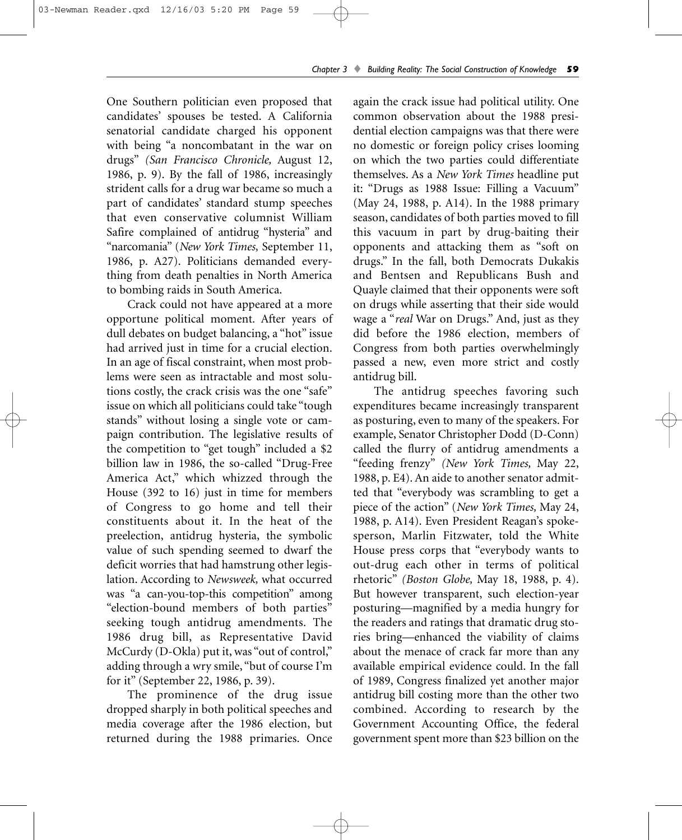One Southern politician even proposed that candidates' spouses be tested. A California senatorial candidate charged his opponent with being "a noncombatant in the war on drugs" *(San Francisco Chronicle,* August 12, 1986, p. 9). By the fall of 1986, increasingly strident calls for a drug war became so much a part of candidates' standard stump speeches that even conservative columnist William Safire complained of antidrug "hysteria" and "narcomania" (*New York Times,* September 11, 1986, p. A27). Politicians demanded everything from death penalties in North America to bombing raids in South America.

Crack could not have appeared at a more opportune political moment. After years of dull debates on budget balancing, a "hot" issue had arrived just in time for a crucial election. In an age of fiscal constraint, when most problems were seen as intractable and most solutions costly, the crack crisis was the one "safe" issue on which all politicians could take "tough stands" without losing a single vote or campaign contribution. The legislative results of the competition to "get tough" included a \$2 billion law in 1986, the so-called "Drug-Free America Act," which whizzed through the House (392 to 16) just in time for members of Congress to go home and tell their constituents about it. In the heat of the preelection, antidrug hysteria, the symbolic value of such spending seemed to dwarf the deficit worries that had hamstrung other legislation. According to *Newsweek,* what occurred was "a can-you-top-this competition" among "election-bound members of both parties" seeking tough antidrug amendments. The 1986 drug bill, as Representative David McCurdy (D-Okla) put it, was "out of control," adding through a wry smile, "but of course I'm for it" (September 22, 1986, p. 39).

The prominence of the drug issue dropped sharply in both political speeches and media coverage after the 1986 election, but returned during the 1988 primaries. Once

again the crack issue had political utility. One common observation about the 1988 presidential election campaigns was that there were no domestic or foreign policy crises looming on which the two parties could differentiate themselves. As a *New York Times* headline put it: "Drugs as 1988 Issue: Filling a Vacuum" (May 24, 1988, p. A14). In the 1988 primary season, candidates of both parties moved to fill this vacuum in part by drug-baiting their opponents and attacking them as "soft on drugs." In the fall, both Democrats Dukakis and Bentsen and Republicans Bush and Quayle claimed that their opponents were soft on drugs while asserting that their side would wage a "*real* War on Drugs." And, just as they did before the 1986 election, members of Congress from both parties overwhelmingly passed a new, even more strict and costly antidrug bill.

The antidrug speeches favoring such expenditures became increasingly transparent as posturing, even to many of the speakers. For example, Senator Christopher Dodd (D-Conn) called the flurry of antidrug amendments a "feeding frenzy" *(New York Times,* May 22, 1988, p. E4). An aide to another senator admitted that "everybody was scrambling to get a piece of the action" (*New York Times,* May 24, 1988, p. A14). Even President Reagan's spokesperson, Marlin Fitzwater, told the White House press corps that "everybody wants to out-drug each other in terms of political rhetoric" *(Boston Globe,* May 18, 1988, p. 4). But however transparent, such election-year posturing—magnified by a media hungry for the readers and ratings that dramatic drug stories bring—enhanced the viability of claims about the menace of crack far more than any available empirical evidence could. In the fall of 1989, Congress finalized yet another major antidrug bill costing more than the other two combined. According to research by the Government Accounting Office, the federal government spent more than \$23 billion on the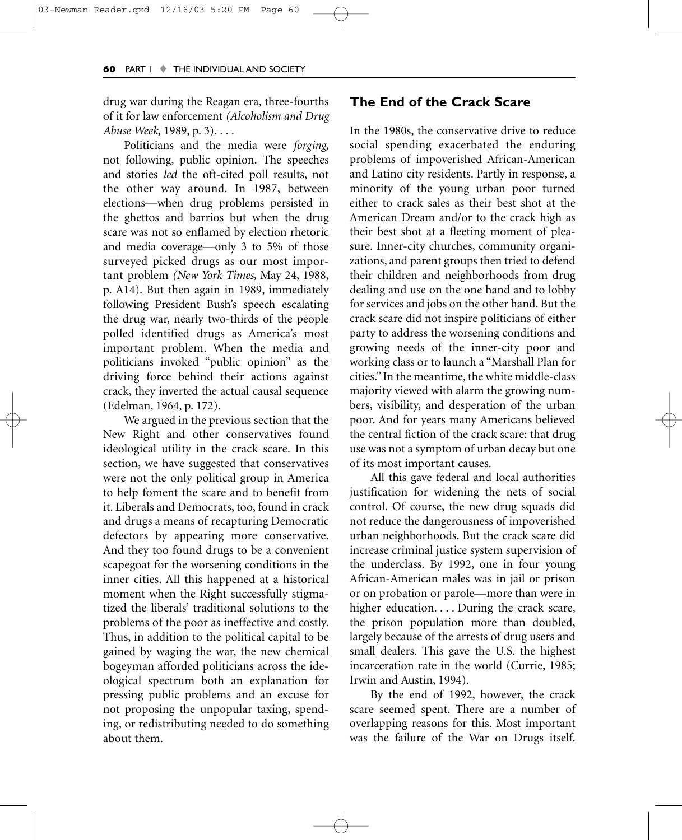drug war during the Reagan era, three-fourths of it for law enforcement *(Alcoholism and Drug Abuse Week,* 1989, p. 3)....

Politicians and the media were *forging,* not following, public opinion. The speeches and stories *led* the oft-cited poll results, not the other way around. In 1987, between elections—when drug problems persisted in the ghettos and barrios but when the drug scare was not so enflamed by election rhetoric and media coverage—only 3 to 5% of those surveyed picked drugs as our most important problem *(New York Times,* May 24, 1988, p. A14). But then again in 1989, immediately following President Bush's speech escalating the drug war, nearly two-thirds of the people polled identified drugs as America's most important problem. When the media and politicians invoked "public opinion" as the driving force behind their actions against crack, they inverted the actual causal sequence (Edelman, 1964, p. 172).

We argued in the previous section that the New Right and other conservatives found ideological utility in the crack scare. In this section, we have suggested that conservatives were not the only political group in America to help foment the scare and to benefit from it. Liberals and Democrats, too, found in crack and drugs a means of recapturing Democratic defectors by appearing more conservative. And they too found drugs to be a convenient scapegoat for the worsening conditions in the inner cities. All this happened at a historical moment when the Right successfully stigmatized the liberals' traditional solutions to the problems of the poor as ineffective and costly. Thus, in addition to the political capital to be gained by waging the war, the new chemical bogeyman afforded politicians across the ideological spectrum both an explanation for pressing public problems and an excuse for not proposing the unpopular taxing, spending, or redistributing needed to do something about them.

## **The End of the Crack Scare**

In the 1980s, the conservative drive to reduce social spending exacerbated the enduring problems of impoverished African-American and Latino city residents. Partly in response, a minority of the young urban poor turned either to crack sales as their best shot at the American Dream and/or to the crack high as their best shot at a fleeting moment of pleasure. Inner-city churches, community organizations, and parent groups then tried to defend their children and neighborhoods from drug dealing and use on the one hand and to lobby for services and jobs on the other hand. But the crack scare did not inspire politicians of either party to address the worsening conditions and growing needs of the inner-city poor and working class or to launch a "Marshall Plan for cities." In the meantime, the white middle-class majority viewed with alarm the growing numbers, visibility, and desperation of the urban poor. And for years many Americans believed the central fiction of the crack scare: that drug use was not a symptom of urban decay but one of its most important causes.

All this gave federal and local authorities justification for widening the nets of social control. Of course, the new drug squads did not reduce the dangerousness of impoverished urban neighborhoods. But the crack scare did increase criminal justice system supervision of the underclass. By 1992, one in four young African-American males was in jail or prison or on probation or parole—more than were in higher education.... During the crack scare, the prison population more than doubled, largely because of the arrests of drug users and small dealers. This gave the U.S. the highest incarceration rate in the world (Currie, 1985; Irwin and Austin, 1994).

By the end of 1992, however, the crack scare seemed spent. There are a number of overlapping reasons for this. Most important was the failure of the War on Drugs itself.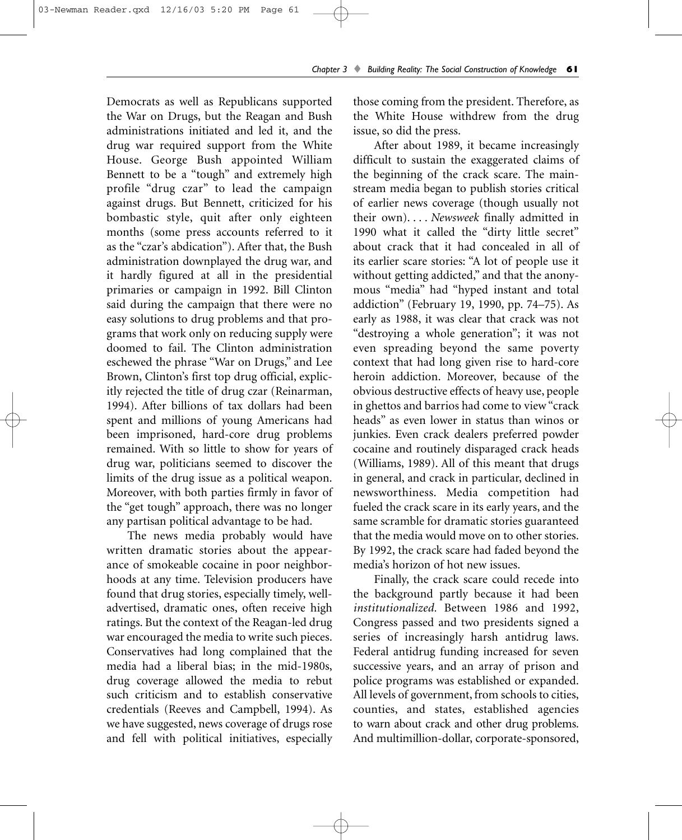Democrats as well as Republicans supported the War on Drugs, but the Reagan and Bush administrations initiated and led it, and the drug war required support from the White House. George Bush appointed William Bennett to be a "tough" and extremely high profile "drug czar" to lead the campaign against drugs. But Bennett, criticized for his bombastic style, quit after only eighteen months (some press accounts referred to it as the "czar's abdication"). After that, the Bush administration downplayed the drug war, and it hardly figured at all in the presidential primaries or campaign in 1992. Bill Clinton said during the campaign that there were no easy solutions to drug problems and that programs that work only on reducing supply were doomed to fail. The Clinton administration eschewed the phrase "War on Drugs," and Lee Brown, Clinton's first top drug official, explicitly rejected the title of drug czar (Reinarman, 1994). After billions of tax dollars had been spent and millions of young Americans had been imprisoned, hard-core drug problems remained. With so little to show for years of drug war, politicians seemed to discover the limits of the drug issue as a political weapon. Moreover, with both parties firmly in favor of the "get tough" approach, there was no longer any partisan political advantage to be had.

The news media probably would have written dramatic stories about the appearance of smokeable cocaine in poor neighborhoods at any time. Television producers have found that drug stories, especially timely, welladvertised, dramatic ones, often receive high ratings. But the context of the Reagan-led drug war encouraged the media to write such pieces. Conservatives had long complained that the media had a liberal bias; in the mid-1980s, drug coverage allowed the media to rebut such criticism and to establish conservative credentials (Reeves and Campbell, 1994). As we have suggested, news coverage of drugs rose and fell with political initiatives, especially

those coming from the president. Therefore, as the White House withdrew from the drug issue, so did the press.

After about 1989, it became increasingly difficult to sustain the exaggerated claims of the beginning of the crack scare. The mainstream media began to publish stories critical of earlier news coverage (though usually not their own). . . . *Newsweek* finally admitted in 1990 what it called the "dirty little secret" about crack that it had concealed in all of its earlier scare stories: "A lot of people use it without getting addicted," and that the anonymous "media" had "hyped instant and total addiction" (February 19, 1990, pp. 74–75). As early as 1988, it was clear that crack was not "destroying a whole generation"; it was not even spreading beyond the same poverty context that had long given rise to hard-core heroin addiction. Moreover, because of the obvious destructive effects of heavy use, people in ghettos and barrios had come to view "crack heads" as even lower in status than winos or junkies. Even crack dealers preferred powder cocaine and routinely disparaged crack heads (Williams, 1989). All of this meant that drugs in general, and crack in particular, declined in newsworthiness. Media competition had fueled the crack scare in its early years, and the same scramble for dramatic stories guaranteed that the media would move on to other stories. By 1992, the crack scare had faded beyond the media's horizon of hot new issues.

Finally, the crack scare could recede into the background partly because it had been *institutionalized.* Between 1986 and 1992, Congress passed and two presidents signed a series of increasingly harsh antidrug laws. Federal antidrug funding increased for seven successive years, and an array of prison and police programs was established or expanded. All levels of government, from schools to cities, counties, and states, established agencies to warn about crack and other drug problems. And multimillion-dollar, corporate-sponsored,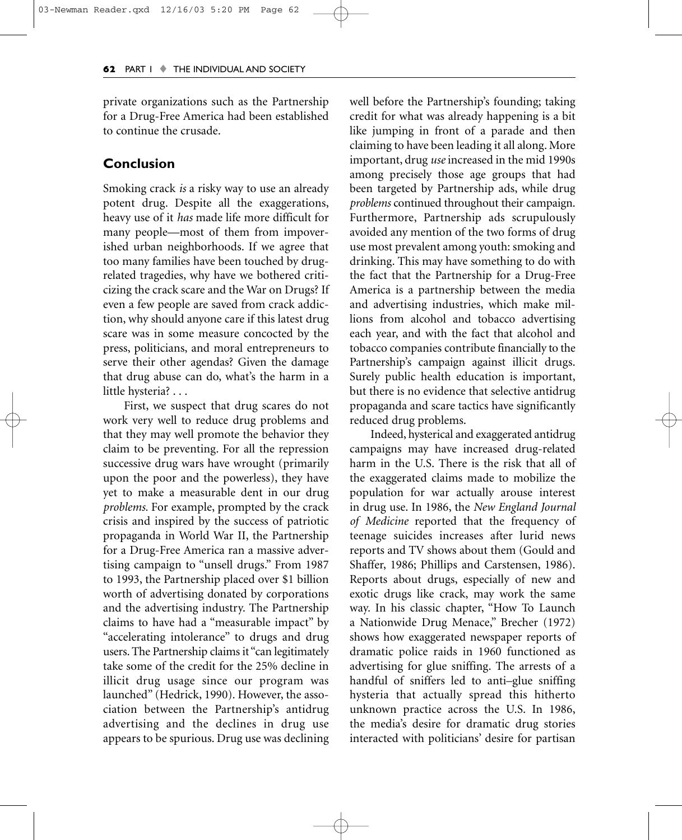private organizations such as the Partnership for a Drug-Free America had been established to continue the crusade.

## **Conclusion**

Smoking crack *is* a risky way to use an already potent drug. Despite all the exaggerations, heavy use of it *has* made life more difficult for many people—most of them from impoverished urban neighborhoods. If we agree that too many families have been touched by drugrelated tragedies, why have we bothered criticizing the crack scare and the War on Drugs? If even a few people are saved from crack addiction, why should anyone care if this latest drug scare was in some measure concocted by the press, politicians, and moral entrepreneurs to serve their other agendas? Given the damage that drug abuse can do, what's the harm in a little hysteria?...

First, we suspect that drug scares do not work very well to reduce drug problems and that they may well promote the behavior they claim to be preventing. For all the repression successive drug wars have wrought (primarily upon the poor and the powerless), they have yet to make a measurable dent in our drug *problems.* For example, prompted by the crack crisis and inspired by the success of patriotic propaganda in World War II, the Partnership for a Drug-Free America ran a massive advertising campaign to "unsell drugs." From 1987 to 1993, the Partnership placed over \$1 billion worth of advertising donated by corporations and the advertising industry. The Partnership claims to have had a "measurable impact" by "accelerating intolerance" to drugs and drug users. The Partnership claims it "can legitimately take some of the credit for the 25% decline in illicit drug usage since our program was launched" (Hedrick, 1990). However, the association between the Partnership's antidrug advertising and the declines in drug use appears to be spurious. Drug use was declining

well before the Partnership's founding; taking credit for what was already happening is a bit like jumping in front of a parade and then claiming to have been leading it all along. More important, drug *use* increased in the mid 1990s among precisely those age groups that had been targeted by Partnership ads, while drug *problems* continued throughout their campaign. Furthermore, Partnership ads scrupulously avoided any mention of the two forms of drug use most prevalent among youth: smoking and drinking. This may have something to do with the fact that the Partnership for a Drug-Free America is a partnership between the media and advertising industries, which make millions from alcohol and tobacco advertising each year, and with the fact that alcohol and tobacco companies contribute financially to the Partnership's campaign against illicit drugs. Surely public health education is important, but there is no evidence that selective antidrug propaganda and scare tactics have significantly reduced drug problems.

Indeed, hysterical and exaggerated antidrug campaigns may have increased drug-related harm in the U.S. There is the risk that all of the exaggerated claims made to mobilize the population for war actually arouse interest in drug use. In 1986, the *New England Journal of Medicine* reported that the frequency of teenage suicides increases after lurid news reports and TV shows about them (Gould and Shaffer, 1986; Phillips and Carstensen, 1986). Reports about drugs, especially of new and exotic drugs like crack, may work the same way. In his classic chapter, "How To Launch a Nationwide Drug Menace," Brecher (1972) shows how exaggerated newspaper reports of dramatic police raids in 1960 functioned as advertising for glue sniffing. The arrests of a handful of sniffers led to anti–glue sniffing hysteria that actually spread this hitherto unknown practice across the U.S. In 1986, the media's desire for dramatic drug stories interacted with politicians' desire for partisan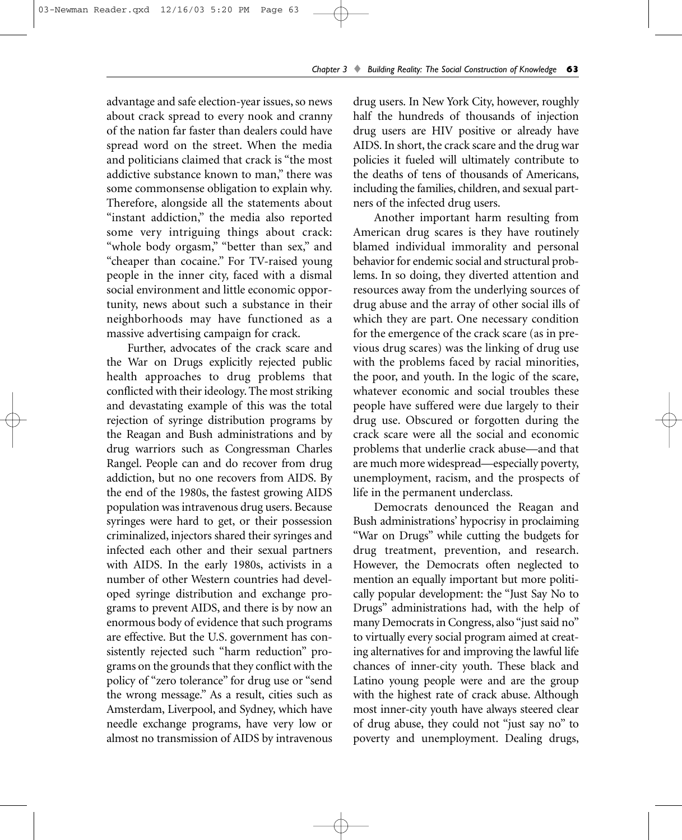*Chapter 3* ♦ *Building Reality: The Social Construction of Knowledge* **<sup>63</sup>**

advantage and safe election-year issues, so news about crack spread to every nook and cranny of the nation far faster than dealers could have spread word on the street. When the media and politicians claimed that crack is "the most addictive substance known to man," there was some commonsense obligation to explain why. Therefore, alongside all the statements about "instant addiction," the media also reported some very intriguing things about crack: "whole body orgasm," "better than sex," and "cheaper than cocaine." For TV-raised young people in the inner city, faced with a dismal social environment and little economic opportunity, news about such a substance in their neighborhoods may have functioned as a massive advertising campaign for crack.

Further, advocates of the crack scare and the War on Drugs explicitly rejected public health approaches to drug problems that conflicted with their ideology. The most striking and devastating example of this was the total rejection of syringe distribution programs by the Reagan and Bush administrations and by drug warriors such as Congressman Charles Rangel. People can and do recover from drug addiction, but no one recovers from AIDS. By the end of the 1980s, the fastest growing AIDS population was intravenous drug users. Because syringes were hard to get, or their possession criminalized, injectors shared their syringes and infected each other and their sexual partners with AIDS. In the early 1980s, activists in a number of other Western countries had developed syringe distribution and exchange programs to prevent AIDS, and there is by now an enormous body of evidence that such programs are effective. But the U.S. government has consistently rejected such "harm reduction" programs on the grounds that they conflict with the policy of "zero tolerance" for drug use or "send the wrong message." As a result, cities such as Amsterdam, Liverpool, and Sydney, which have needle exchange programs, have very low or almost no transmission of AIDS by intravenous

drug users. In New York City, however, roughly half the hundreds of thousands of injection drug users are HIV positive or already have AIDS. In short, the crack scare and the drug war policies it fueled will ultimately contribute to the deaths of tens of thousands of Americans, including the families, children, and sexual partners of the infected drug users.

Another important harm resulting from American drug scares is they have routinely blamed individual immorality and personal behavior for endemic social and structural problems. In so doing, they diverted attention and resources away from the underlying sources of drug abuse and the array of other social ills of which they are part. One necessary condition for the emergence of the crack scare (as in previous drug scares) was the linking of drug use with the problems faced by racial minorities, the poor, and youth. In the logic of the scare, whatever economic and social troubles these people have suffered were due largely to their drug use. Obscured or forgotten during the crack scare were all the social and economic problems that underlie crack abuse—and that are much more widespread—especially poverty, unemployment, racism, and the prospects of life in the permanent underclass.

Democrats denounced the Reagan and Bush administrations' hypocrisy in proclaiming "War on Drugs" while cutting the budgets for drug treatment, prevention, and research. However, the Democrats often neglected to mention an equally important but more politically popular development: the "Just Say No to Drugs" administrations had, with the help of many Democrats in Congress, also "just said no" to virtually every social program aimed at creating alternatives for and improving the lawful life chances of inner-city youth. These black and Latino young people were and are the group with the highest rate of crack abuse. Although most inner-city youth have always steered clear of drug abuse, they could not "just say no" to poverty and unemployment. Dealing drugs,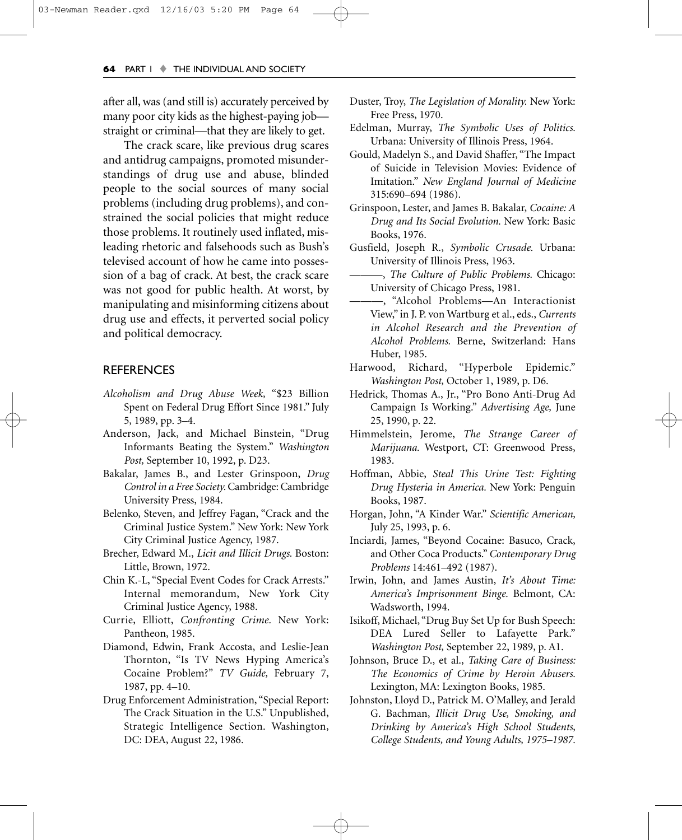after all, was (and still is) accurately perceived by many poor city kids as the highest-paying job straight or criminal—that they are likely to get.

The crack scare, like previous drug scares and antidrug campaigns, promoted misunderstandings of drug use and abuse, blinded people to the social sources of many social problems (including drug problems), and constrained the social policies that might reduce those problems. It routinely used inflated, misleading rhetoric and falsehoods such as Bush's televised account of how he came into possession of a bag of crack. At best, the crack scare was not good for public health. At worst, by manipulating and misinforming citizens about drug use and effects, it perverted social policy and political democracy.

### **REFERENCES**

- *Alcoholism and Drug Abuse Week,* "\$23 Billion Spent on Federal Drug Effort Since 1981." July 5, 1989, pp. 3–4.
- Anderson, Jack, and Michael Binstein, "Drug Informants Beating the System." *Washington Post,* September 10, 1992, p. D23.
- Bakalar, James B., and Lester Grinspoon, *Drug Control in a Free Society.*Cambridge: Cambridge University Press, 1984.
- Belenko, Steven, and Jeffrey Fagan, "Crack and the Criminal Justice System." New York: New York City Criminal Justice Agency, 1987.
- Brecher, Edward M., *Licit and Illicit Drugs.* Boston: Little, Brown, 1972.
- Chin K.-L, "Special Event Codes for Crack Arrests." Internal memorandum, New York City Criminal Justice Agency, 1988.
- Currie, Elliott, *Confronting Crime.* New York: Pantheon, 1985.
- Diamond, Edwin, Frank Accosta, and Leslie-Jean Thornton, "Is TV News Hyping America's Cocaine Problem?" *TV Guide,* February 7, 1987, pp. 4–10.
- Drug Enforcement Administration, "Special Report: The Crack Situation in the U.S." Unpublished, Strategic Intelligence Section. Washington, DC: DEA, August 22, 1986.
- Duster, Troy, *The Legislation of Morality.* New York: Free Press, 1970.
- Edelman, Murray, *The Symbolic Uses of Politics.* Urbana: University of Illinois Press, 1964.
- Gould, Madelyn S., and David Shaffer, "The Impact of Suicide in Television Movies: Evidence of Imitation." *New England Journal of Medicine* 315:690–694 (1986).
- Grinspoon, Lester, and James B. Bakalar, *Cocaine: A Drug and Its Social Evolution.* New York: Basic Books, 1976.
- Gusfield, Joseph R., *Symbolic Crusade.* Urbana: University of Illinois Press, 1963.
- ———, *The Culture of Public Problems.* Chicago: University of Chicago Press, 1981.
- ———, "Alcohol Problems—An Interactionist View," in J. P. von Wartburg et al., eds., *Currents in Alcohol Research and the Prevention of Alcohol Problems.* Berne, Switzerland: Hans Huber, 1985.
- Harwood, Richard, "Hyperbole Epidemic." *Washington Post,* October 1, 1989, p. D6.
- Hedrick, Thomas A., Jr., "Pro Bono Anti-Drug Ad Campaign Is Working." *Advertising Age,* June 25, 1990, p. 22.
- Himmelstein, Jerome, *The Strange Career of Marijuana.* Westport, CT: Greenwood Press, 1983.
- Hoffman, Abbie, *Steal This Urine Test: Fighting Drug Hysteria in America.* New York: Penguin Books, 1987.
- Horgan, John, "A Kinder War." *Scientific American,* July 25, 1993, p. 6.
- Inciardi, James, "Beyond Cocaine: Basuco, Crack, and Other Coca Products."*Contemporary Drug Problems* 14:461–492 (1987).
- Irwin, John, and James Austin, *It's About Time: America's Imprisonment Binge.* Belmont, CA: Wadsworth, 1994.
- Isikoff, Michael, "Drug Buy Set Up for Bush Speech: DEA Lured Seller to Lafayette Park." *Washington Post,* September 22, 1989, p. A1.
- Johnson, Bruce D., et al., *Taking Care of Business: The Economics of Crime by Heroin Abusers.* Lexington, MA: Lexington Books, 1985.
- Johnston, Lloyd D., Patrick M. O'Malley, and Jerald G. Bachman, *Illicit Drug Use, Smoking, and Drinking by America's High School Students, College Students, and Young Adults, 1975–1987.*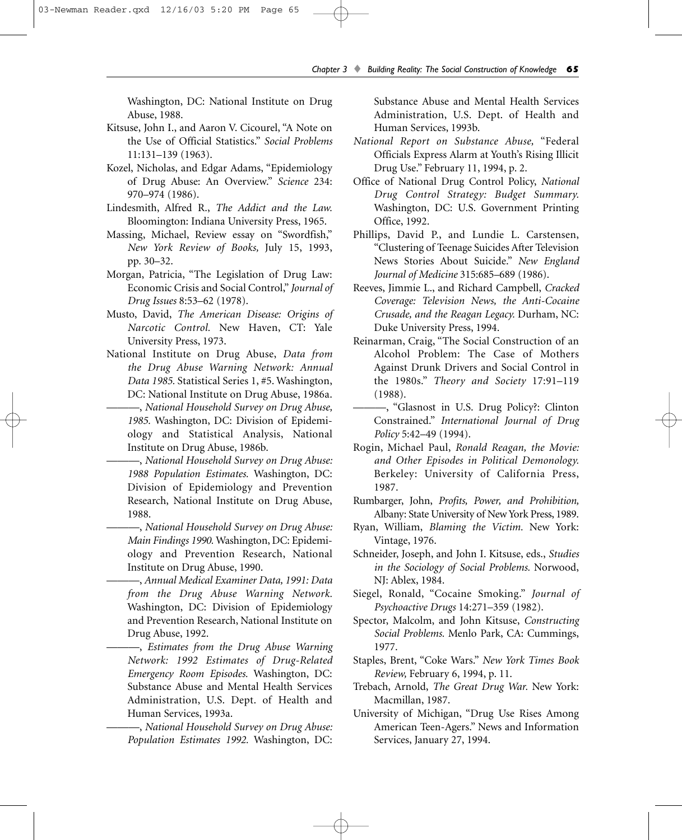*Chapter 3* ♦ *Building Reality: The Social Construction of Knowledge* **<sup>65</sup>**

Washington, DC: National Institute on Drug Abuse, 1988.

- Kitsuse, John I., and Aaron V. Cicourel, "A Note on the Use of Official Statistics." *Social Problems* 11:131–139 (1963).
- Kozel, Nicholas, and Edgar Adams, "Epidemiology of Drug Abuse: An Overview." *Science* 234: 970–974 (1986).
- Lindesmith, Alfred R., *The Addict and the Law.* Bloomington: Indiana University Press, 1965.
- Massing, Michael, Review essay on "Swordfish," *New York Review of Books,* July 15, 1993, pp. 30–32.
- Morgan, Patricia, "The Legislation of Drug Law: Economic Crisis and Social Control," *Journal of Drug Issues* 8:53–62 (1978).
- Musto, David, *The American Disease: Origins of Narcotic Control.* New Haven, CT: Yale University Press, 1973.
- National Institute on Drug Abuse, *Data from the Drug Abuse Warning Network: Annual Data 1985.* Statistical Series 1, #5. Washington, DC: National Institute on Drug Abuse, 1986a. ———, *National Household Survey on Drug Abuse, 1985.* Washington, DC: Division of Epidemiology and Statistical Analysis, National

Institute on Drug Abuse, 1986b. ———, *National Household Survey on Drug Abuse: 1988 Population Estimates.* Washington, DC:

Division of Epidemiology and Prevention Research, National Institute on Drug Abuse, 1988.

———, *National Household Survey on Drug Abuse: Main Findings 1990.* Washington, DC: Epidemiology and Prevention Research, National Institute on Drug Abuse, 1990.

———, *Annual Medical Examiner Data, 1991: Data from the Drug Abuse Warning Network.* Washington, DC: Division of Epidemiology and Prevention Research, National Institute on Drug Abuse, 1992.

———, *Estimates from the Drug Abuse Warning Network: 1992 Estimates of Drug-Related Emergency Room Episodes.* Washington, DC: Substance Abuse and Mental Health Services Administration, U.S. Dept. of Health and Human Services, 1993a.

———, *National Household Survey on Drug Abuse: Population Estimates 1992.* Washington, DC: Substance Abuse and Mental Health Services Administration, U.S. Dept. of Health and Human Services, 1993b.

- *National Report on Substance Abuse,* "Federal Officials Express Alarm at Youth's Rising Illicit Drug Use." February 11, 1994, p. 2.
- Office of National Drug Control Policy, *National Drug Control Strategy: Budget Summary.* Washington, DC: U.S. Government Printing Office, 1992.
- Phillips, David P., and Lundie L. Carstensen, "Clustering of Teenage Suicides After Television News Stories About Suicide." *New England Journal of Medicine* 315:685–689 (1986).
- Reeves, Jimmie L., and Richard Campbell, *Cracked Coverage: Television News, the Anti-Cocaine Crusade, and the Reagan Legacy.* Durham, NC: Duke University Press, 1994.
- Reinarman, Craig, "The Social Construction of an Alcohol Problem: The Case of Mothers Against Drunk Drivers and Social Control in the 1980s." *Theory and Society* 17:91–119 (1988).
- ———, "Glasnost in U.S. Drug Policy?: Clinton Constrained." *International Journal of Drug Policy* 5:42–49 (1994).
- Rogin, Michael Paul, *Ronald Reagan, the Movie: and Other Episodes in Political Demonology.* Berkeley: University of California Press, 1987.
- Rumbarger, John, *Profits, Power, and Prohibition,* Albany: State University of New York Press, 1989.
- Ryan, William, *Blaming the Victim.* New York: Vintage, 1976.
- Schneider, Joseph, and John I. Kitsuse, eds., *Studies in the Sociology of Social Problems.* Norwood, NJ: Ablex, 1984.
- Siegel, Ronald, "Cocaine Smoking." *Journal of Psychoactive Drugs* 14:271–359 (1982).
- Spector, Malcolm, and John Kitsuse, *Constructing Social Problems.* Menlo Park, CA: Cummings, 1977.
- Staples, Brent, "Coke Wars." *New York Times Book Review,* February 6, 1994, p. 11.
- Trebach, Arnold, *The Great Drug War.* New York: Macmillan, 1987.
- University of Michigan, "Drug Use Rises Among American Teen-Agers." News and Information Services, January 27, 1994.